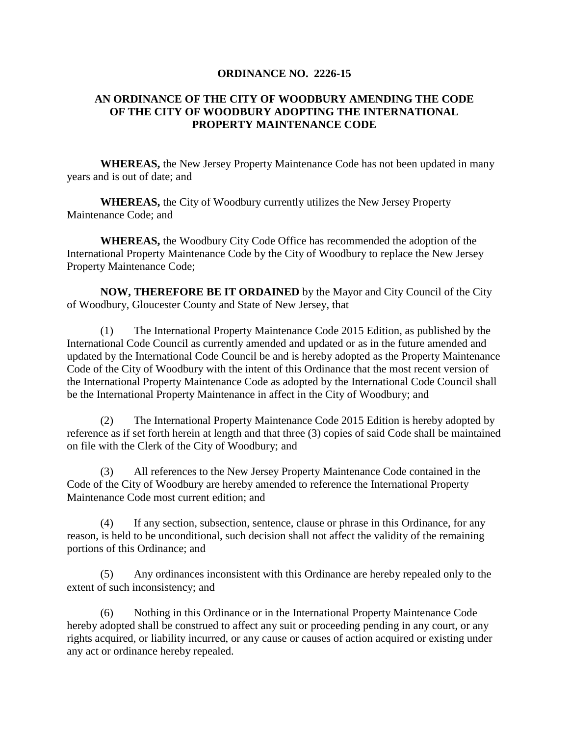## **ORDINANCE NO. 2226-15**

## **AN ORDINANCE OF THE CITY OF WOODBURY AMENDING THE CODE OF THE CITY OF WOODBURY ADOPTING THE INTERNATIONAL PROPERTY MAINTENANCE CODE**

**WHEREAS,** the New Jersey Property Maintenance Code has not been updated in many years and is out of date; and

**WHEREAS,** the City of Woodbury currently utilizes the New Jersey Property Maintenance Code; and

**WHEREAS,** the Woodbury City Code Office has recommended the adoption of the International Property Maintenance Code by the City of Woodbury to replace the New Jersey Property Maintenance Code;

**NOW, THEREFORE BE IT ORDAINED** by the Mayor and City Council of the City of Woodbury, Gloucester County and State of New Jersey, that

(1) The International Property Maintenance Code 2015 Edition, as published by the International Code Council as currently amended and updated or as in the future amended and updated by the International Code Council be and is hereby adopted as the Property Maintenance Code of the City of Woodbury with the intent of this Ordinance that the most recent version of the International Property Maintenance Code as adopted by the International Code Council shall be the International Property Maintenance in affect in the City of Woodbury; and

(2) The International Property Maintenance Code 2015 Edition is hereby adopted by reference as if set forth herein at length and that three (3) copies of said Code shall be maintained on file with the Clerk of the City of Woodbury; and

(3) All references to the New Jersey Property Maintenance Code contained in the Code of the City of Woodbury are hereby amended to reference the International Property Maintenance Code most current edition; and

(4) If any section, subsection, sentence, clause or phrase in this Ordinance, for any reason, is held to be unconditional, such decision shall not affect the validity of the remaining portions of this Ordinance; and

(5) Any ordinances inconsistent with this Ordinance are hereby repealed only to the extent of such inconsistency; and

(6) Nothing in this Ordinance or in the International Property Maintenance Code hereby adopted shall be construed to affect any suit or proceeding pending in any court, or any rights acquired, or liability incurred, or any cause or causes of action acquired or existing under any act or ordinance hereby repealed.